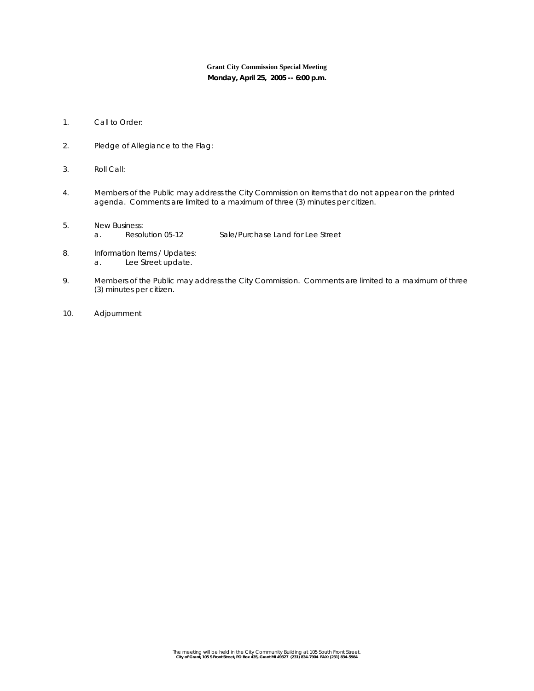## **Grant City Commission Special Meeting**

**Monday, April 25, 2005 -- 6:00 p.m.** 

- 1. Call to Order:
- 2. Pledge of Allegiance to the Flag:
- 3. Roll Call:
- 4. Members of the Public may address the City Commission on items that do not appear on the printed agenda. Comments are limited to a maximum of three (3) minutes per citizen.
- 5. New Business:<br>a. Resolution 05-12 a. Resolution 05-12 Sale/Purchase Land for Lee Street
- 8. Information Items / Updates: a. Lee Street update.
- 9. Members of the Public may address the City Commission. Comments are limited to a maximum of three (3) minutes per citizen.
- 10. Adjournment